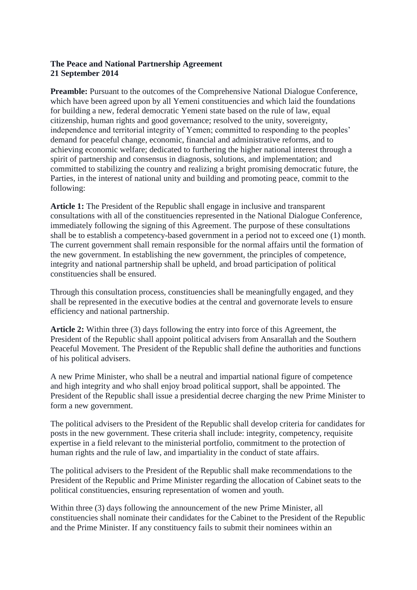## **The Peace and National Partnership Agreement 21 September 2014**

**Preamble:** Pursuant to the outcomes of the Comprehensive National Dialogue Conference, which have been agreed upon by all Yemeni constituencies and which laid the foundations for building a new, federal democratic Yemeni state based on the rule of law, equal citizenship, human rights and good governance; resolved to the unity, sovereignty, independence and territorial integrity of Yemen; committed to responding to the peoples' demand for peaceful change, economic, financial and administrative reforms, and to achieving economic welfare; dedicated to furthering the higher national interest through a spirit of partnership and consensus in diagnosis, solutions, and implementation; and committed to stabilizing the country and realizing a bright promising democratic future, the Parties, in the interest of national unity and building and promoting peace, commit to the following:

**Article 1:** The President of the Republic shall engage in inclusive and transparent consultations with all of the constituencies represented in the National Dialogue Conference, immediately following the signing of this Agreement. The purpose of these consultations shall be to establish a competency-based government in a period not to exceed one (1) month. The current government shall remain responsible for the normal affairs until the formation of the new government. In establishing the new government, the principles of competence, integrity and national partnership shall be upheld, and broad participation of political constituencies shall be ensured.

Through this consultation process, constituencies shall be meaningfully engaged, and they shall be represented in the executive bodies at the central and governorate levels to ensure efficiency and national partnership.

**Article 2:** Within three (3) days following the entry into force of this Agreement, the President of the Republic shall appoint political advisers from Ansarallah and the Southern Peaceful Movement. The President of the Republic shall define the authorities and functions of his political advisers.

A new Prime Minister, who shall be a neutral and impartial national figure of competence and high integrity and who shall enjoy broad political support, shall be appointed. The President of the Republic shall issue a presidential decree charging the new Prime Minister to form a new government.

The political advisers to the President of the Republic shall develop criteria for candidates for posts in the new government. These criteria shall include: integrity, competency, requisite expertise in a field relevant to the ministerial portfolio, commitment to the protection of human rights and the rule of law, and impartiality in the conduct of state affairs.

The political advisers to the President of the Republic shall make recommendations to the President of the Republic and Prime Minister regarding the allocation of Cabinet seats to the political constituencies, ensuring representation of women and youth.

Within three (3) days following the announcement of the new Prime Minister, all constituencies shall nominate their candidates for the Cabinet to the President of the Republic and the Prime Minister. If any constituency fails to submit their nominees within an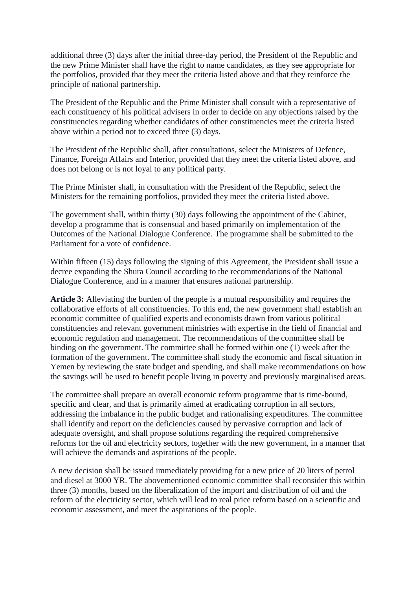additional three (3) days after the initial three-day period, the President of the Republic and the new Prime Minister shall have the right to name candidates, as they see appropriate for the portfolios, provided that they meet the criteria listed above and that they reinforce the principle of national partnership.

The President of the Republic and the Prime Minister shall consult with a representative of each constituency of his political advisers in order to decide on any objections raised by the constituencies regarding whether candidates of other constituencies meet the criteria listed above within a period not to exceed three (3) days.

The President of the Republic shall, after consultations, select the Ministers of Defence, Finance, Foreign Affairs and Interior, provided that they meet the criteria listed above, and does not belong or is not loyal to any political party.

The Prime Minister shall, in consultation with the President of the Republic, select the Ministers for the remaining portfolios, provided they meet the criteria listed above.

The government shall, within thirty (30) days following the appointment of the Cabinet, develop a programme that is consensual and based primarily on implementation of the Outcomes of the National Dialogue Conference. The programme shall be submitted to the Parliament for a vote of confidence.

Within fifteen (15) days following the signing of this Agreement, the President shall issue a decree expanding the Shura Council according to the recommendations of the National Dialogue Conference, and in a manner that ensures national partnership.

**Article 3:** Alleviating the burden of the people is a mutual responsibility and requires the collaborative efforts of all constituencies. To this end, the new government shall establish an economic committee of qualified experts and economists drawn from various political constituencies and relevant government ministries with expertise in the field of financial and economic regulation and management. The recommendations of the committee shall be binding on the government. The committee shall be formed within one (1) week after the formation of the government. The committee shall study the economic and fiscal situation in Yemen by reviewing the state budget and spending, and shall make recommendations on how the savings will be used to benefit people living in poverty and previously marginalised areas.

The committee shall prepare an overall economic reform programme that is time-bound, specific and clear, and that is primarily aimed at eradicating corruption in all sectors, addressing the imbalance in the public budget and rationalising expenditures. The committee shall identify and report on the deficiencies caused by pervasive corruption and lack of adequate oversight, and shall propose solutions regarding the required comprehensive reforms for the oil and electricity sectors, together with the new government, in a manner that will achieve the demands and aspirations of the people.

A new decision shall be issued immediately providing for a new price of 20 liters of petrol and diesel at 3000 YR. The abovementioned economic committee shall reconsider this within three (3) months, based on the liberalization of the import and distribution of oil and the reform of the electricity sector, which will lead to real price reform based on a scientific and economic assessment, and meet the aspirations of the people.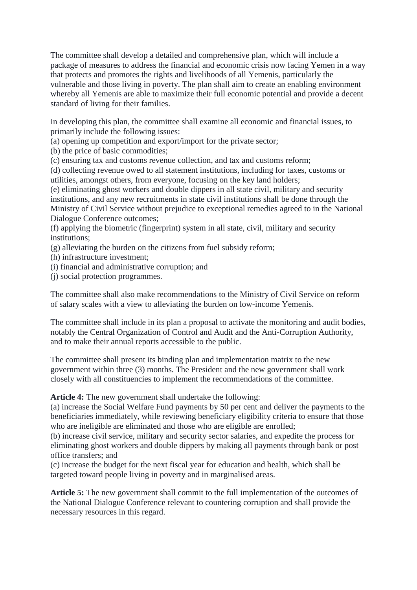The committee shall develop a detailed and comprehensive plan, which will include a package of measures to address the financial and economic crisis now facing Yemen in a way that protects and promotes the rights and livelihoods of all Yemenis, particularly the vulnerable and those living in poverty. The plan shall aim to create an enabling environment whereby all Yemenis are able to maximize their full economic potential and provide a decent standard of living for their families.

In developing this plan, the committee shall examine all economic and financial issues, to primarily include the following issues:

(a) opening up competition and export/import for the private sector;

(b) the price of basic commodities;

(c) ensuring tax and customs revenue collection, and tax and customs reform;

(d) collecting revenue owed to all statement institutions, including for taxes, customs or utilities, amongst others, from everyone, focusing on the key land holders;

(e) eliminating ghost workers and double dippers in all state civil, military and security institutions, and any new recruitments in state civil institutions shall be done through the Ministry of Civil Service without prejudice to exceptional remedies agreed to in the National Dialogue Conference outcomes;

(f) applying the biometric (fingerprint) system in all state, civil, military and security institutions;

(g) alleviating the burden on the citizens from fuel subsidy reform;

(h) infrastructure investment;

(i) financial and administrative corruption; and

(j) social protection programmes.

The committee shall also make recommendations to the Ministry of Civil Service on reform of salary scales with a view to alleviating the burden on low-income Yemenis.

The committee shall include in its plan a proposal to activate the monitoring and audit bodies, notably the Central Organization of Control and Audit and the Anti-Corruption Authority, and to make their annual reports accessible to the public.

The committee shall present its binding plan and implementation matrix to the new government within three (3) months. The President and the new government shall work closely with all constituencies to implement the recommendations of the committee.

**Article 4:** The new government shall undertake the following:

(a) increase the Social Welfare Fund payments by 50 per cent and deliver the payments to the beneficiaries immediately, while reviewing beneficiary eligibility criteria to ensure that those who are ineligible are eliminated and those who are eligible are enrolled;

(b) increase civil service, military and security sector salaries, and expedite the process for eliminating ghost workers and double dippers by making all payments through bank or post office transfers; and

(c) increase the budget for the next fiscal year for education and health, which shall be targeted toward people living in poverty and in marginalised areas.

**Article 5:** The new government shall commit to the full implementation of the outcomes of the National Dialogue Conference relevant to countering corruption and shall provide the necessary resources in this regard.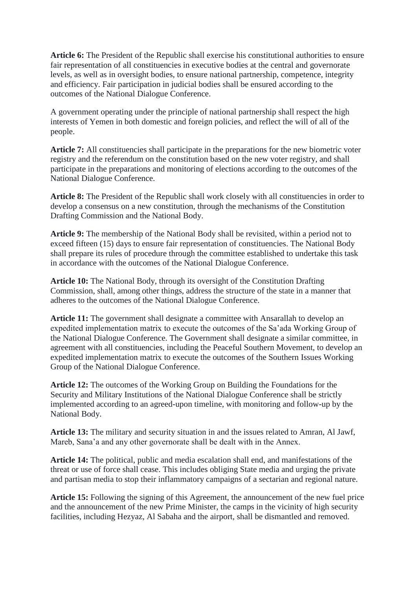Article 6: The President of the Republic shall exercise his constitutional authorities to ensure fair representation of all constituencies in executive bodies at the central and governorate levels, as well as in oversight bodies, to ensure national partnership, competence, integrity and efficiency. Fair participation in judicial bodies shall be ensured according to the outcomes of the National Dialogue Conference.

A government operating under the principle of national partnership shall respect the high interests of Yemen in both domestic and foreign policies, and reflect the will of all of the people.

**Article 7:** All constituencies shall participate in the preparations for the new biometric voter registry and the referendum on the constitution based on the new voter registry, and shall participate in the preparations and monitoring of elections according to the outcomes of the National Dialogue Conference.

Article 8: The President of the Republic shall work closely with all constituencies in order to develop a consensus on a new constitution, through the mechanisms of the Constitution Drafting Commission and the National Body.

**Article 9:** The membership of the National Body shall be revisited, within a period not to exceed fifteen (15) days to ensure fair representation of constituencies. The National Body shall prepare its rules of procedure through the committee established to undertake this task in accordance with the outcomes of the National Dialogue Conference.

**Article 10:** The National Body, through its oversight of the Constitution Drafting Commission, shall, among other things, address the structure of the state in a manner that adheres to the outcomes of the National Dialogue Conference.

**Article 11:** The government shall designate a committee with Ansarallah to develop an expedited implementation matrix to execute the outcomes of the Sa'ada Working Group of the National Dialogue Conference. The Government shall designate a similar committee, in agreement with all constituencies, including the Peaceful Southern Movement, to develop an expedited implementation matrix to execute the outcomes of the Southern Issues Working Group of the National Dialogue Conference.

**Article 12:** The outcomes of the Working Group on Building the Foundations for the Security and Military Institutions of the National Dialogue Conference shall be strictly implemented according to an agreed-upon timeline, with monitoring and follow-up by the National Body.

**Article 13:** The military and security situation in and the issues related to Amran, Al Jawf, Mareb, Sana'a and any other governorate shall be dealt with in the Annex.

**Article 14:** The political, public and media escalation shall end, and manifestations of the threat or use of force shall cease. This includes obliging State media and urging the private and partisan media to stop their inflammatory campaigns of a sectarian and regional nature.

**Article 15:** Following the signing of this Agreement, the announcement of the new fuel price and the announcement of the new Prime Minister, the camps in the vicinity of high security facilities, including Hezyaz, Al Sabaha and the airport, shall be dismantled and removed.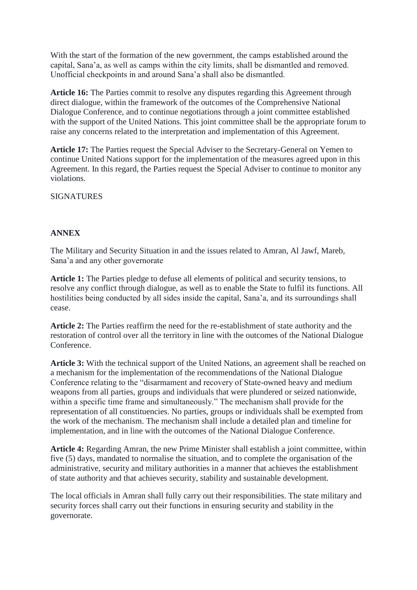With the start of the formation of the new government, the camps established around the capital, Sana'a, as well as camps within the city limits, shall be dismantled and removed. Unofficial checkpoints in and around Sana'a shall also be dismantled.

**Article 16:** The Parties commit to resolve any disputes regarding this Agreement through direct dialogue, within the framework of the outcomes of the Comprehensive National Dialogue Conference, and to continue negotiations through a joint committee established with the support of the United Nations. This joint committee shall be the appropriate forum to raise any concerns related to the interpretation and implementation of this Agreement.

**Article 17:** The Parties request the Special Adviser to the Secretary-General on Yemen to continue United Nations support for the implementation of the measures agreed upon in this Agreement. In this regard, the Parties request the Special Adviser to continue to monitor any violations.

SIGNATURES

## **ANNEX**

The Military and Security Situation in and the issues related to Amran, Al Jawf, Mareb, Sana'a and any other governorate

**Article 1:** The Parties pledge to defuse all elements of political and security tensions, to resolve any conflict through dialogue, as well as to enable the State to fulfil its functions. All hostilities being conducted by all sides inside the capital, Sana'a, and its surroundings shall cease.

**Article 2:** The Parties reaffirm the need for the re-establishment of state authority and the restoration of control over all the territory in line with the outcomes of the National Dialogue Conference.

**Article 3:** With the technical support of the United Nations, an agreement shall be reached on a mechanism for the implementation of the recommendations of the National Dialogue Conference relating to the "disarmament and recovery of State-owned heavy and medium weapons from all parties, groups and individuals that were plundered or seized nationwide, within a specific time frame and simultaneously." The mechanism shall provide for the representation of all constituencies. No parties, groups or individuals shall be exempted from the work of the mechanism. The mechanism shall include a detailed plan and timeline for implementation, and in line with the outcomes of the National Dialogue Conference.

**Article 4:** Regarding Amran, the new Prime Minister shall establish a joint committee, within five (5) days, mandated to normalise the situation, and to complete the organisation of the administrative, security and military authorities in a manner that achieves the establishment of state authority and that achieves security, stability and sustainable development.

The local officials in Amran shall fully carry out their responsibilities. The state military and security forces shall carry out their functions in ensuring security and stability in the governorate.